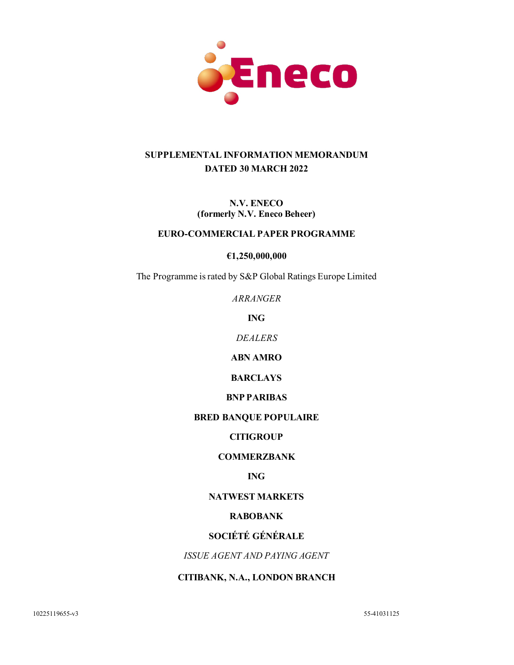

# **SUPPLEMENTAL INFORMATION MEMORANDUM DATED 30 MARCH 2022**

**N.V. ENECO (formerly N.V. Eneco Beheer)**

#### **EURO-COMMERCIAL PAPER PROGRAMME**

**€1,250,000,000**

The Programme is rated by S&P Global Ratings Europe Limited

*ARRANGER*

**ING**

*DEALERS*

**ABN AMRO**

**BARCLAYS**

### **BNP PARIBAS**

#### **BRED BANQUE POPULAIRE**

### **CITIGROUP**

### **COMMERZBANK**

### **ING**

### **NATWEST MARKETS**

### **RABOBANK**

### **SOCIÉTÉ GÉNÉRALE**

*ISSUE AGENT AND PAYING AGENT*

## **CITIBANK, N.A., LONDON BRANCH**

10225119655-v3 55-41031125